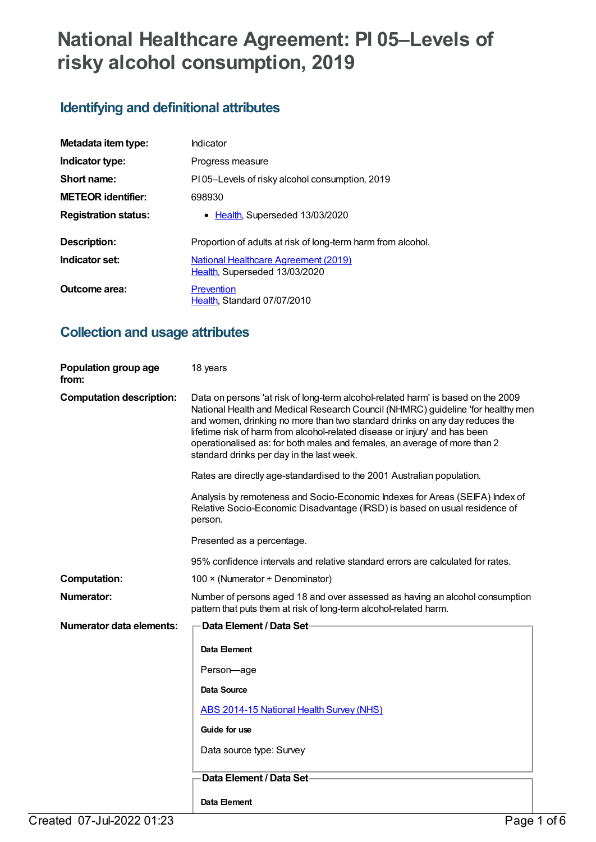# **National Healthcare Agreement: PI 05–Levels of risky alcohol consumption, 2019**

# **Identifying and definitional attributes**

| Metadata item type:         | Indicator                                                             |
|-----------------------------|-----------------------------------------------------------------------|
| Indicator type:             | Progress measure                                                      |
| Short name:                 | PI05-Levels of risky alcohol consumption, 2019                        |
| <b>METEOR</b> identifier:   | 698930                                                                |
| <b>Registration status:</b> | • Health, Superseded 13/03/2020                                       |
| Description:                | Proportion of adults at risk of long-term harm from alcohol.          |
| Indicator set:              | National Healthcare Agreement (2019)<br>Health, Superseded 13/03/2020 |
| Outcome area:               | Prevention<br>Health, Standard 07/07/2010                             |

# **Collection and usage attributes**

| Population group age<br>from:   | 18 years                                                                                                                                                                                                                                                                                                                                                                                                                                                   |
|---------------------------------|------------------------------------------------------------------------------------------------------------------------------------------------------------------------------------------------------------------------------------------------------------------------------------------------------------------------------------------------------------------------------------------------------------------------------------------------------------|
| <b>Computation description:</b> | Data on persons 'at risk of long-term alcohol-related harm' is based on the 2009<br>National Health and Medical Research Council (NHMRC) guideline 'for healthy men<br>and women, drinking no more than two standard drinks on any day reduces the<br>lifetime risk of harm from alcohol-related disease or injury' and has been<br>operationalised as: for both males and females, an average of more than 2<br>standard drinks per day in the last week. |
|                                 | Rates are directly age-standardised to the 2001 Australian population.                                                                                                                                                                                                                                                                                                                                                                                     |
|                                 | Analysis by remoteness and Socio-Economic Indexes for Areas (SEIFA) Index of<br>Relative Socio-Economic Disadvantage (IRSD) is based on usual residence of<br>person.                                                                                                                                                                                                                                                                                      |
|                                 | Presented as a percentage.                                                                                                                                                                                                                                                                                                                                                                                                                                 |
|                                 | 95% confidence intervals and relative standard errors are calculated for rates.                                                                                                                                                                                                                                                                                                                                                                            |
| <b>Computation:</b>             | 100 × (Numerator ÷ Denominator)                                                                                                                                                                                                                                                                                                                                                                                                                            |
| Numerator:                      | Number of persons aged 18 and over assessed as having an alcohol consumption<br>pattern that puts them at risk of long-term alcohol-related harm.                                                                                                                                                                                                                                                                                                          |
| <b>Numerator data elements:</b> | Data Element / Data Set-                                                                                                                                                                                                                                                                                                                                                                                                                                   |
|                                 | Data Element                                                                                                                                                                                                                                                                                                                                                                                                                                               |
|                                 | Person-age                                                                                                                                                                                                                                                                                                                                                                                                                                                 |
|                                 | Data Source                                                                                                                                                                                                                                                                                                                                                                                                                                                |
|                                 | <b>ABS 2014-15 National Health Survey (NHS)</b>                                                                                                                                                                                                                                                                                                                                                                                                            |
|                                 | Guide for use                                                                                                                                                                                                                                                                                                                                                                                                                                              |
|                                 | Data source type: Survey                                                                                                                                                                                                                                                                                                                                                                                                                                   |
|                                 | Data Element / Data Set-                                                                                                                                                                                                                                                                                                                                                                                                                                   |
|                                 | Data Element                                                                                                                                                                                                                                                                                                                                                                                                                                               |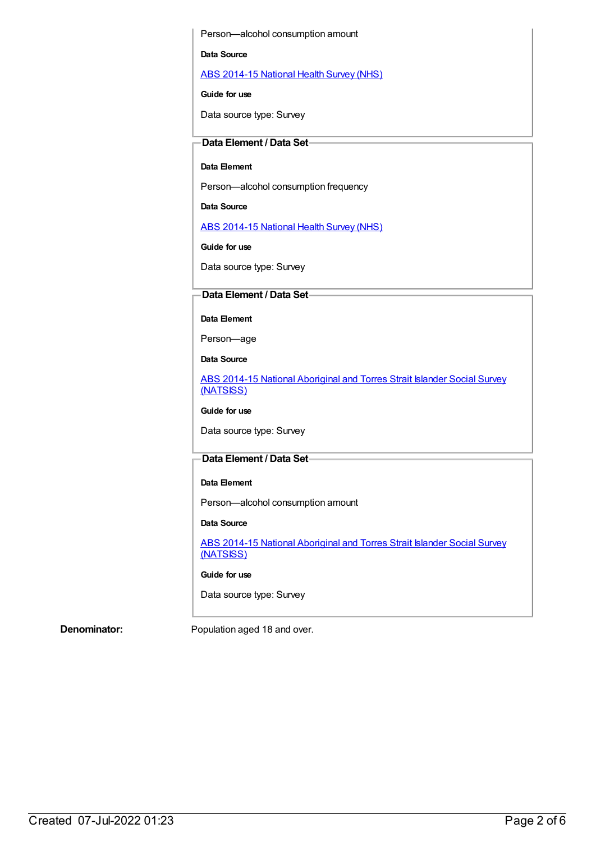Person—alcohol consumption amount

#### **Data Source**

ABS [2014-15](https://meteor.aihw.gov.au/content/644695) National Health Survey (NHS)

#### **Guide for use**

Data source type: Survey

### **Data Element / Data Set**

#### **Data Element**

Person—alcohol consumption frequency

#### **Data Source**

ABS [2014-15](https://meteor.aihw.gov.au/content/644695) National Health Survey (NHS)

**Guide for use**

Data source type: Survey

## **Data Element / Data Set**

**Data Element**

Person—age

**Data Source**

ABS 2014-15 National [Aboriginal](https://meteor.aihw.gov.au/content/644707) and Torres Strait Islander Social Survey (NATSISS)

**Guide for use**

Data source type: Survey

## **Data Element / Data Set**

#### **Data Element**

Person—alcohol consumption amount

#### **Data Source**

ABS 2014-15 National [Aboriginal](https://meteor.aihw.gov.au/content/644707) and Torres Strait Islander Social Survey (NATSISS)

#### **Guide for use**

Data source type: Survey

**Denominator:** Population aged 18 and over.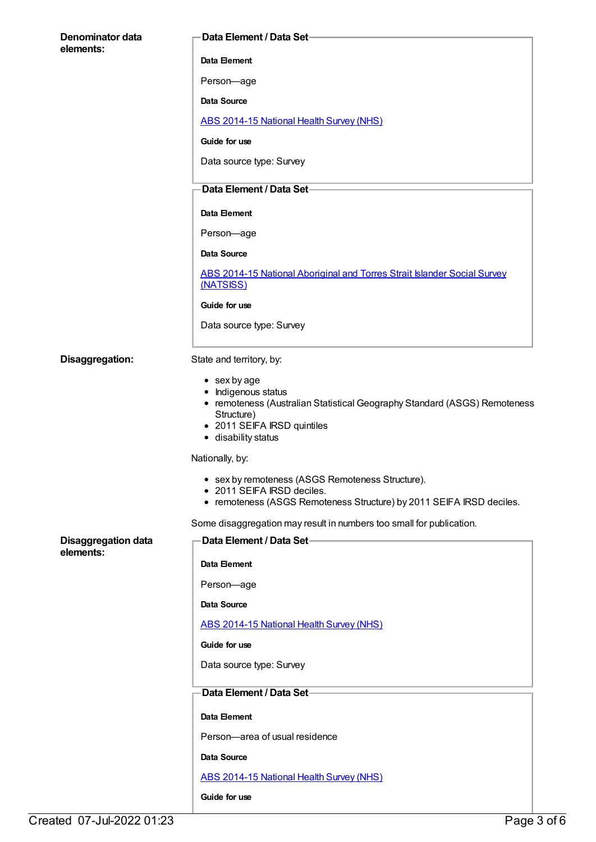| Denominator data           | <b>Data Element / Data Set-</b>                                                                                                                                                              |
|----------------------------|----------------------------------------------------------------------------------------------------------------------------------------------------------------------------------------------|
| elements:                  | Data Element                                                                                                                                                                                 |
|                            | Person-age                                                                                                                                                                                   |
|                            | Data Source                                                                                                                                                                                  |
|                            | <b>ABS 2014-15 National Health Survey (NHS)</b>                                                                                                                                              |
|                            | Guide for use                                                                                                                                                                                |
|                            | Data source type: Survey                                                                                                                                                                     |
|                            | Data Element / Data Set-                                                                                                                                                                     |
|                            | Data Element                                                                                                                                                                                 |
|                            | Person-age                                                                                                                                                                                   |
|                            | Data Source                                                                                                                                                                                  |
|                            | ABS 2014-15 National Aboriginal and Torres Strait Islander Social Survey<br>(NATSISS)                                                                                                        |
|                            | Guide for use                                                                                                                                                                                |
|                            | Data source type: Survey                                                                                                                                                                     |
|                            |                                                                                                                                                                                              |
| Disaggregation:            | State and territory, by:                                                                                                                                                                     |
|                            | $\bullet$ sex by age<br>• Indigenous status<br>• remoteness (Australian Statistical Geography Standard (ASGS) Remoteness<br>Structure)<br>• 2011 SEIFA IRSD quintiles<br>• disability status |
|                            | Nationally, by:                                                                                                                                                                              |
|                            | • sex by remoteness (ASGS Remoteness Structure).<br>• 2011 SEIFA IRSD deciles.<br>• remoteness (ASGS Remoteness Structure) by 2011 SEIFA IRSD deciles.                                       |
|                            | Some disaggregation may result in numbers too small for publication.                                                                                                                         |
| <b>Disaggregation data</b> | Data Element / Data Set-                                                                                                                                                                     |
| elements:                  | Data Element                                                                                                                                                                                 |
|                            | Person-age                                                                                                                                                                                   |
|                            | Data Source                                                                                                                                                                                  |
|                            | ABS 2014-15 National Health Survey (NHS)                                                                                                                                                     |
|                            | Guide for use                                                                                                                                                                                |
|                            | Data source type: Survey                                                                                                                                                                     |
|                            | Data Element / Data Set-                                                                                                                                                                     |
|                            | Data Element                                                                                                                                                                                 |
|                            | Person-area of usual residence                                                                                                                                                               |
|                            | Data Source                                                                                                                                                                                  |
|                            | <b>ABS 2014-15 National Health Survey (NHS)</b>                                                                                                                                              |
|                            | Guide for use                                                                                                                                                                                |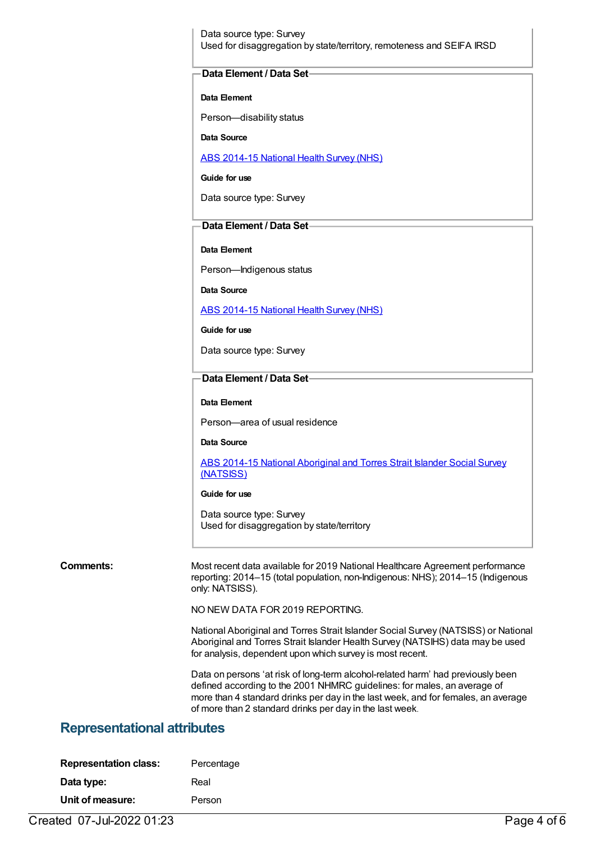Data source type: Survey Used for disaggregation by state/territory, remoteness and SEIFA IRSD

#### **Data Element / Data Set**

#### **Data Element**

Person—disability status

**Data Source**

ABS [2014-15](https://meteor.aihw.gov.au/content/644695) National Health Survey (NHS)

**Guide for use**

Data source type: Survey

### **Data Element / Data Set**

#### **Data Element**

Person—Indigenous status

**Data Source**

ABS [2014-15](https://meteor.aihw.gov.au/content/644695) National Health Survey (NHS)

**Guide for use**

Data source type: Survey

#### **Data Element / Data Set**

**Data Element**

Person—area of usual residence

**Data Source**

ABS 2014-15 National [Aboriginal](https://meteor.aihw.gov.au/content/644707) and Torres Strait Islander Social Survey (NATSISS)

#### **Guide for use**

Data source type: Survey Used for disaggregation by state/territory

**Comments:** Most recent data available for 2019 National Healthcare Agreement performance reporting: 2014–15 (total population, non-Indigenous: NHS); 2014–15 (Indigenous only: NATSISS).

NO NEW DATA FOR 2019 REPORTING.

National Aboriginal and Torres Strait Islander Social Survey (NATSISS) or National Aboriginal and Torres Strait Islander Health Survey (NATSIHS) data may be used for analysis, dependent upon which survey is most recent.

Data on persons 'at risk of long-term alcohol-related harm' had previously been defined according to the 2001 NHMRC guidelines: for males, an average of more than 4 standard drinks per day in the last week, and for females, an average of more than 2 standard drinks per day in the last week.

# **Representational attributes**

| <b>Representation class:</b> | Percentage |
|------------------------------|------------|
| Data type:                   | Real       |
| Unit of measure:             | Person     |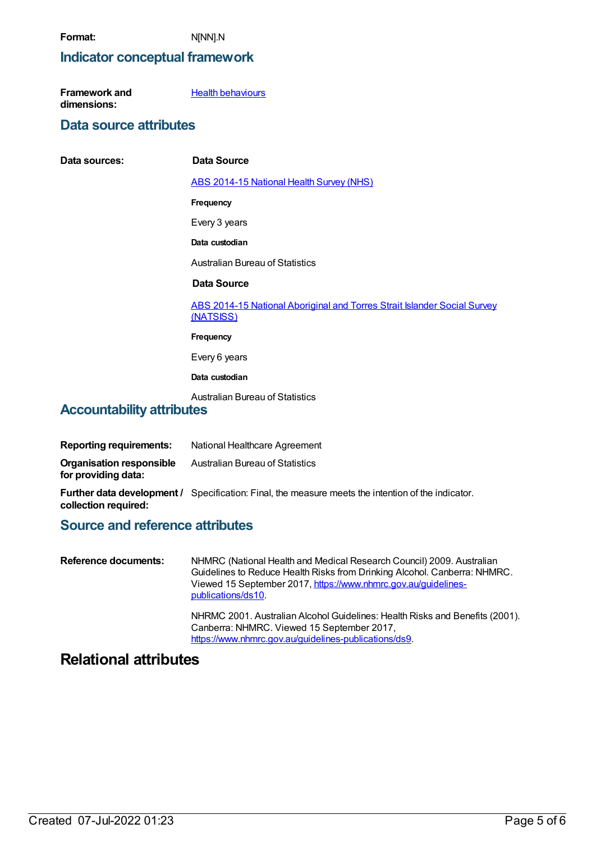$Data$  **sources:** 

# **Indicator conceptual framework**

| Framework and | <b>Health behaviours</b> |
|---------------|--------------------------|
| dimensions:   |                          |

## **Data source attributes**

| Data Source                                                                           |
|---------------------------------------------------------------------------------------|
| <b>ABS 2014-15 National Health Survey (NHS)</b>                                       |
| Frequency                                                                             |
| Every 3 years                                                                         |
| Data custodian                                                                        |
| <b>Australian Bureau of Statistics</b>                                                |
| Data Source                                                                           |
| ABS 2014-15 National Aboriginal and Torres Strait Islander Social Survey<br>(NATSISS) |
| Frequency                                                                             |
| Every 6 years                                                                         |
| Data custodian                                                                        |
| <b>Australian Bureau of Statistics</b>                                                |

# **Accountability attributes**

| Reporting requirements:                         | National Healthcare Agreement                                                                             |
|-------------------------------------------------|-----------------------------------------------------------------------------------------------------------|
| Organisation responsible<br>for providing data: | Australian Bureau of Statistics                                                                           |
| collection required:                            | <b>Further data development /</b> Specification: Final, the measure meets the intention of the indicator. |

# **Source and reference attributes**

| Reference documents: | NHMRC (National Health and Medical Research Council) 2009. Australian<br>Guidelines to Reduce Health Risks from Drinking Alcohol. Canberra: NHMRC.<br>Viewed 15 September 2017, https://www.nhmrc.gov.au/guidelines-<br>publications/ds10. |
|----------------------|--------------------------------------------------------------------------------------------------------------------------------------------------------------------------------------------------------------------------------------------|
|                      | NHRMC 2001. Australian Alcohol Guidelines: Health Risks and Benefits (2001).<br>Canberra: NHMRC. Viewed 15 September 2017,<br>https://www.nhmrc.gov.au/guidelines-publications/ds9.                                                        |

# **Relational attributes**